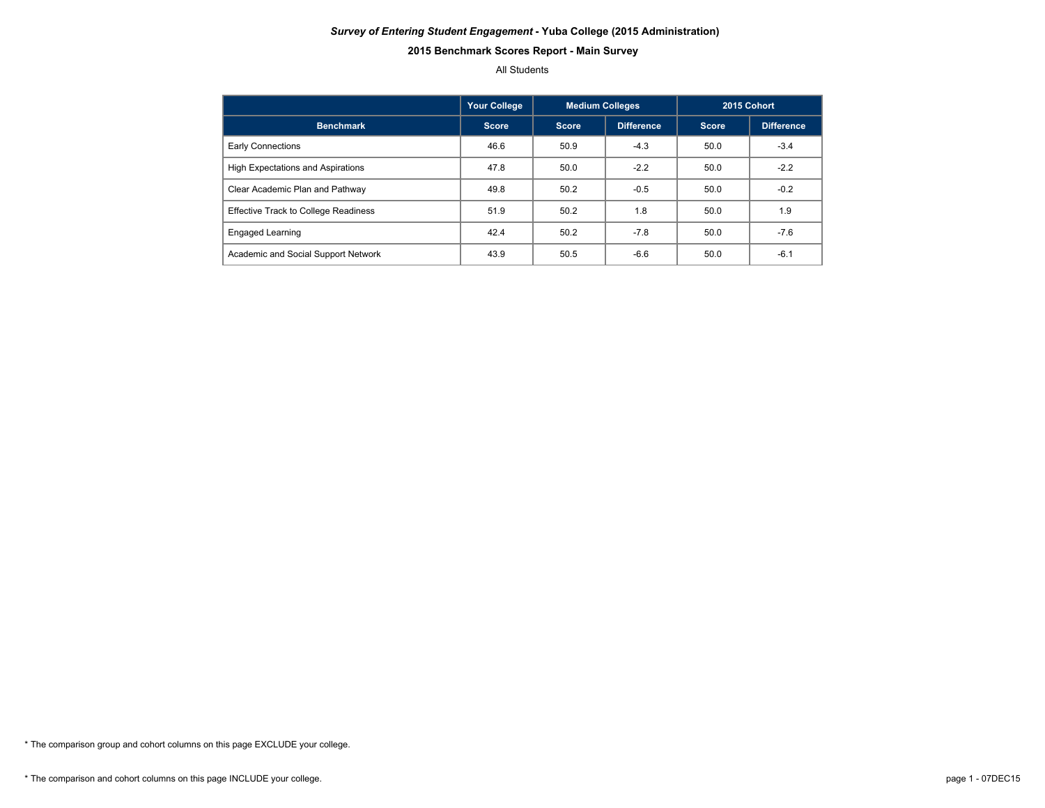#### *Survey of Entering Student Engagement* **- Yuba College (2015 Administration)**

# **2015 Benchmark Scores Report - Main Survey**

#### All Students

|                                             | Your College | <b>Medium Colleges</b> |                   | 2015 Cohort  |            |  |
|---------------------------------------------|--------------|------------------------|-------------------|--------------|------------|--|
| <b>Benchmark</b>                            | <b>Score</b> | <b>Score</b>           | <b>Difference</b> | <b>Score</b> | Difference |  |
| Early Connections                           | 46.6         | 50.9                   | $-4.3$            | 50.0         | $-3.4$     |  |
| <b>High Expectations and Aspirations</b>    | 47.8         | 50.0                   | $-2.2$            | 50.0         | $-2.2$     |  |
| Clear Academic Plan and Pathway             | 49.8         | 50.2                   | $-0.5$            | 50.0         | $-0.2$     |  |
| <b>Effective Track to College Readiness</b> | 51.9         | 50.2                   | 1.8               | 50.0         | 1.9        |  |
| <b>Engaged Learning</b>                     | 42.4         | 50.2                   | $-7.8$            | 50.0         | $-7.6$     |  |
| Academic and Social Support Network         | 43.9         | 50.5                   | $-6.6$            | 50.0         | $-6.1$     |  |

\* The comparison group and cohort columns on this page EXCLUDE your college.